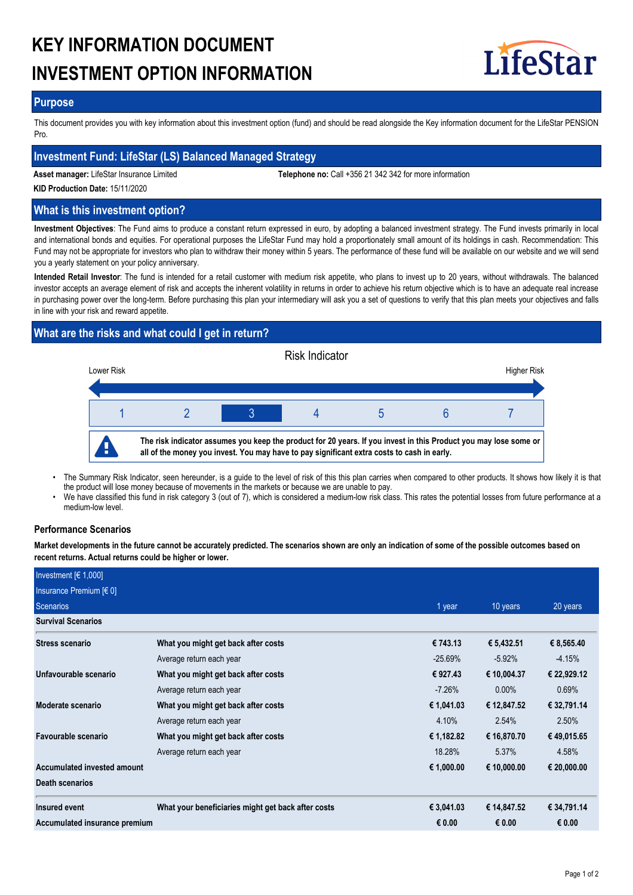# **KEY INFORMATION DOCUMENT INVESTMENT OPTION INFORMATION**



## **Purpose**

This document provides you with key information about this investment option (fund) and should be read alongside the Key information document for the LifeStar PENSION Pro.

## **Investment Fund: LifeStar (LS) Balanced Managed Strategy**

**Asset manager:** LifeStar Insurance Limited **Telephone no:** Call +356 21 342 342 for more information

**KID Production Date:** 15/11/2020

## **What is this investment option?**

**Investment Objectives**: The Fund aims to produce a constant return expressed in euro, by adopting a balanced investment strategy. The Fund invests primarily in local and international bonds and equities. For operational purposes the LifeStar Fund may hold a proportionately small amount of its holdings in cash. Recommendation: This Fund may not be appropriate for investors who plan to withdraw their money within 5 years. The performance of these fund will be available on our website and we will send you a yearly statement on your policy anniversary.

**Intended Retail Investor**: The fund is intended for a retail customer with medium risk appetite, who plans to invest up to 20 years, without withdrawals. The balanced investor accepts an average element of risk and accepts the inherent volatility in returns in order to achieve his return objective which is to have an adequate real increase in purchasing power over the long-term. Before purchasing this plan your intermediary will ask you a set of questions to verify that this plan meets your objectives and falls in line with your risk and reward appetite.

# **What are the risks and what could I get in return?**



- The Summary Risk Indicator, seen hereunder, is a guide to the level of risk of this this plan carries when compared to other products. It shows how likely it is that the product will lose money because of movements in the markets or because we are unable to pay. •
- We have classified this fund in risk category 3 (out of 7), which is considered a medium-low risk class. This rates the potential losses from future performance at a medium-low level. •

## **Performance Scenarios**

**Market developments in the future cannot be accurately predicted. The scenarios shown are only an indication of some of the possible outcomes based on recent returns. Actual returns could be higher or lower.**

| Investment $[6 1,000]$        |                                                    |            |             |             |
|-------------------------------|----------------------------------------------------|------------|-------------|-------------|
| Insurance Premium [€ 0]       |                                                    |            |             |             |
| Scenarios                     |                                                    | 1 year     | 10 years    | 20 years    |
| <b>Survival Scenarios</b>     |                                                    |            |             |             |
| <b>Stress scenario</b>        | What you might get back after costs                | € 743.13   | € 5,432.51  | € 8,565.40  |
|                               | Average return each year                           | $-25.69\%$ | $-5.92\%$   | $-4.15%$    |
| Unfavourable scenario         | What you might get back after costs                | € 927.43   | € 10,004.37 | € 22,929.12 |
|                               | Average return each year                           | $-7.26\%$  | $0.00\%$    | 0.69%       |
| Moderate scenario             | What you might get back after costs                | € 1,041.03 | € 12,847.52 | € 32,791.14 |
|                               | Average return each year                           | 4.10%      | 2.54%       | 2.50%       |
| Favourable scenario           | What you might get back after costs                | € 1,182.82 | € 16,870.70 | € 49,015.65 |
|                               | Average return each year                           | 18.28%     | 5.37%       | 4.58%       |
| Accumulated invested amount   |                                                    | € 1,000.00 | € 10,000.00 | € 20,000.00 |
| <b>Death scenarios</b>        |                                                    |            |             |             |
| Insured event                 | What your beneficiaries might get back after costs | € 3,041.03 | € 14,847.52 | € 34,791.14 |
| Accumulated insurance premium |                                                    | € 0.00     | € 0.00      | € 0.00      |